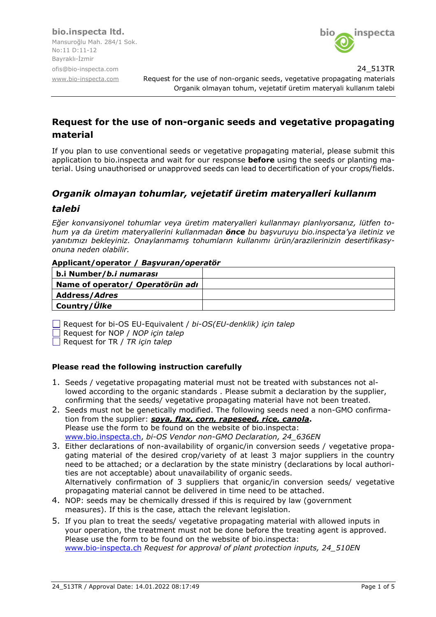**bio.inspecta ltd.** Mansuroğlu Mah. 284/1 Sok. No:11 D:11-12 Bayraklı-İzmir



ofis@bio-inspecta.com 24\_513TR www.bio-inspecta.com Request for the use of non-organic seeds, vegetative propagating materials Organik olmayan tohum, vejetatif üretim materyali kullanım talebi

# **Request for the use of non-organic seeds and vegetative propagating material**

If you plan to use conventional seeds or vegetative propagating material, please submit this application to bio.inspecta and wait for our response **before** using the seeds or planting material. Using unauthorised or unapproved seeds can lead to decertification of your crops/fields.

## *Organik olmayan tohumlar, vejetatif üretim materyalleri kullanım*

## *talebi*

*Eğer konvansiyonel tohumlar veya üretim materyalleri kullanmayı planlıyorsanız, lütfen tohum ya da üretim materyallerini kullanmadan önce bu başvuruyu bio.inspecta'ya iletiniz ve yanıtımızı bekleyiniz. Onaylanmamış tohumların kullanımı ürün/arazilerinizin desertifikasyonuna neden olabilir.* 

### **Applicant/operator /** *Başvuran/operatör*

| b.i Number/b.i numarası          |  |
|----------------------------------|--|
| Name of operator/ Operatörün adı |  |
| <b>Address/Adres</b>             |  |
| Country/Ulke                     |  |

Request for bi-OS EU-Equivalent / *bi-OS(EU-denklik) için talep*

Request for NOP / *NOP için talep* 

Request for TR / *TR için talep* 

## **Please read the following instruction carefully**

- 1. Seeds / vegetative propagating material must not be treated with substances not allowed according to the organic standards . Please submit a declaration by the supplier, confirming that the seeds/ vegetative propagating material have not been treated.
- 2. Seeds must not be genetically modified. The following seeds need a non-GMO confirmation from the supplier: *soya, flax, corn, rapeseed, rice, canola***.**  Please use the form to be found on the website of bio.inspecta: www.bio.inspecta.ch, *bi-OS Vendor non-GMO Declaration, 24\_636EN*
- 3. Either declarations of non-availability of organic/in conversion seeds / vegetative propagating material of the desired crop/variety of at least 3 major suppliers in the country need to be attached; or a declaration by the state ministry (declarations by local authorities are not acceptable) about unavailability of organic seeds. Alternatively confirmation of 3 suppliers that organic/in conversion seeds/ vegetative propagating material cannot be delivered in time need to be attached.
- 4. NOP: seeds may be chemically dressed if this is required by law (government measures). If this is the case, attach the relevant legislation.
- 5. If you plan to treat the seeds/ vegetative propagating material with allowed inputs in your operation, the treatment must not be done before the treating agent is approved. Please use the form to be found on the website of bio.inspecta: www.bio-inspecta.ch *Request for approval of plant protection inputs, 24\_510EN*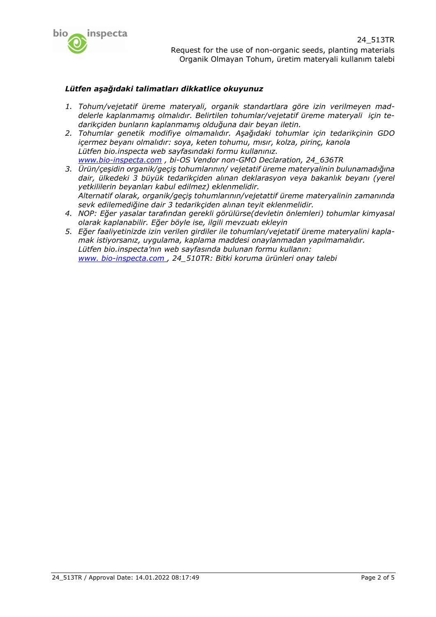

## *Lütfen aşağıdaki talimatları dikkatlice okuyunuz*

- *1. Tohum/vejetatif üreme materyali, organik standartlara göre izin verilmeyen maddelerle kaplanmamış olmalıdır. Belirtilen tohumlar/vejetatif üreme materyali için tedarikçiden bunların kaplanmamış olduğuna dair beyan iletin.*
- *2. Tohumlar genetik modifiye olmamalıdır. Aşağıdaki tohumlar için tedarikçinin GDO içermez beyanı olmalıdır: soya, keten tohumu, mısır, kolza, pirinç, kanola Lütfen bio.inspecta web sayfasındaki formu kullanınız. www.bio-inspecta.com , bi-OS Vendor non-GMO Declaration, 24\_636TR*
- *3. Ürün/çeşidin organik/geçiş tohumlarının/ vejetatif üreme materyalinin bulunamadığına dair, ülkedeki 3 büyük tedarikçiden alınan deklarasyon veya bakanlık beyanı (yerel yetkililerin beyanları kabul edilmez) eklenmelidir. Alternatif olarak, organik/geçiş tohumlarının/vejetattif üreme materyalinin zamanında sevk edilemediğine dair 3 tedarikçiden alınan teyit eklenmelidir.*
- *4. NOP: Eğer yasalar tarafından gerekli görülürse(devletin önlemleri) tohumlar kimyasal olarak kaplanabilir. Eğer böyle ise, ilgili mevzuatı ekleyin*
- *5. Eğer faaliyetinizde izin verilen girdiler ile tohumları/vejetatif üreme materyalini kaplamak istiyorsanız, uygulama, kaplama maddesi onaylanmadan yapılmamalıdır. Lütfen bio.inspecta'nın web sayfasında bulunan formu kullanın: www. bio-inspecta.com , 24\_510TR: Bitki koruma ürünleri onay talebi*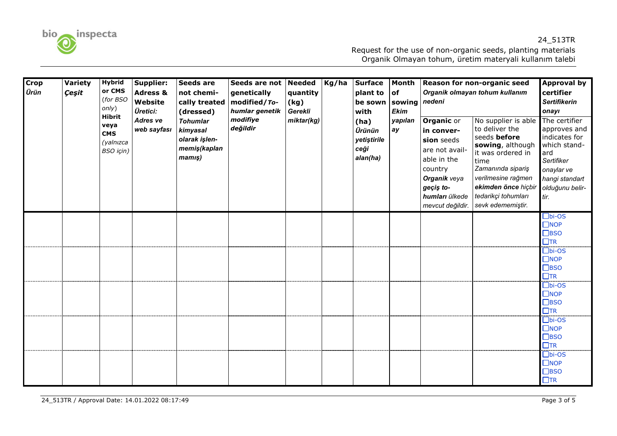

Request for the use of non-organic seeds, planting materials<br>Organik Olmayan tohum, üretim materyali kullanım talebi

| <b>Crop</b><br>Ürün | Variety<br>Çeşit | <b>Hybrid</b><br>or CMS<br>(for BSO<br>only)<br><b>Hibrit</b><br>veya<br><b>CMS</b><br>(yalnızca<br>BSO için) | Supplier:<br><b>Adress &amp;</b><br>Website<br>Üretici:<br><b>Adres ve</b><br>web sayfası | Seeds are<br>not chemi-<br>cally treated<br>(dressed)<br><b>Tohumlar</b><br>kimyasal<br>olarak işlen-<br>memiş(kaplan<br>mamış) | Seeds are not<br>genetically<br>modified/To-<br>humlar genetik<br>modifiye<br>değildir | Needed<br>quantity<br>(kg)<br>Gerekli<br>miktar(kg) | Kg/ha | <b>Surface</b><br>plant to<br>be sown<br>with<br>(ha)<br>Ürünün<br>yetiştirile<br>ceği<br>alan(ha) | Month<br>of<br>sowing<br><b>Ekim</b><br>yapılan<br>ay | nedeni<br><b>Organic or</b><br>in conver-<br>sion seeds<br>are not avail-<br>able in the<br>country<br>Organik veya<br>geçiş to-<br>humları ülkede<br>mevcut değildir. | Reason for non-organic seed<br>Organik olmayan tohum kullanım<br>No supplier is able<br>to deliver the<br>seeds before<br>sowing, although<br>it was ordered in<br>time<br>Zamanında sipariş<br>verilmesine rağmen<br>ekimden önce hiçbir<br>tedarikçi tohumları<br>sevk edememiştir. | <b>Approval by</b><br>certifier<br><b>Sertifikerin</b><br>onayı<br>The certifier<br>approves and<br>indicates for<br>which stand-<br>ard<br>Sertifiker<br>onaylar ve<br>hangi standart<br>olduğunu belir-<br>tir.                                                                                                                                      |
|---------------------|------------------|---------------------------------------------------------------------------------------------------------------|-------------------------------------------------------------------------------------------|---------------------------------------------------------------------------------------------------------------------------------|----------------------------------------------------------------------------------------|-----------------------------------------------------|-------|----------------------------------------------------------------------------------------------------|-------------------------------------------------------|------------------------------------------------------------------------------------------------------------------------------------------------------------------------|---------------------------------------------------------------------------------------------------------------------------------------------------------------------------------------------------------------------------------------------------------------------------------------|--------------------------------------------------------------------------------------------------------------------------------------------------------------------------------------------------------------------------------------------------------------------------------------------------------------------------------------------------------|
|                     |                  |                                                                                                               |                                                                                           |                                                                                                                                 |                                                                                        |                                                     |       |                                                                                                    |                                                       |                                                                                                                                                                        |                                                                                                                                                                                                                                                                                       | $\square$ bi-OS<br>$\square$ NOP<br>$\square$ BSO<br>$\Box$ TR<br>$\square$ bi-OS<br>$\square$ NOP<br>$\square$ BSO<br>$\Box$ TR<br>$\overline{\Box}$ bi-OS<br>$\square$ NOP<br>$\square$ BSO<br>$\Box$ TR<br>$\square$ bi-OS<br>$\square$ NOP<br>$\square$ BSO<br>$\Box$ TR<br>$\overline{\Box}$ bi-OS<br>$\square$ NOP<br>$\square$ BSO<br>$\Box$ TR |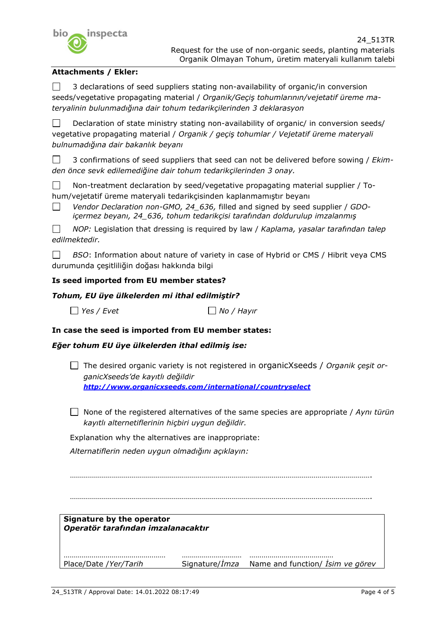

## **Attachments / Ekler:**

 $\Box$  3 declarations of seed suppliers stating non-availability of organic/in conversion seeds/vegetative propagating material / *Organik/Geçiş tohumlarının/vejetatif üreme materyalinin bulunmadığına dair tohum tedarikçilerinden 3 deklarasyon* 

 $\Box$  Declaration of state ministry stating non-availability of organic/ in conversion seeds/ vegetative propagating material / *Organik / geçiş tohumlar / Vejetatif üreme materyali bulnumadığına dair bakanlık beyanı*

 3 confirmations of seed suppliers that seed can not be delivered before sowing / *Ekimden önce sevk edilemediğine dair tohum tedarikçilerinden 3 onay.* 

 $\Box$  Non-treatment declaration by seed/vegetative propagating material supplier / Tohum/vejetatif üreme materyali tedarikçisinden kaplanmamıştır beyanı



*Vendor Declaration non-GMO, 24\_636,* filled and signed by seed supplier / *GDOiçermez beyanı, 24\_636, tohum tedarikçisi tarafından doldurulup imzalanmış* 

 *NOP:* Legislation that dressing is required by law / *Kaplama, yasalar tarafından talep edilmektedir.* 

 $\Box$ *BSO*: Information about nature of variety in case of Hybrid or CMS / Hibrit veya CMS durumunda çeşitliliğin doğası hakkında bilgi

### **Is seed imported from EU member states?**

### *Tohum, EU üye ülkelerden mi ithal edilmiştir?*

 $\Box$  Yes / Evet  $\Box$  No / Hayır

### **In case the seed is imported from EU member states:**

### *Eğer tohum EU üye ülkelerden ithal edilmiş ise:*

- The desired organic variety is not registered in organicXseeds / *Organik çeşit organicXseeds'de kayıtlı değildir http://www.organicxseeds.com/international/countryselect*
- None of the registered alternatives of the same species are appropriate / *Aynı türün kayıtlı alternetiflerinin hiçbiri uygun değildir.*

Explanation why the alternatives are inappropriate:

*Alternatiflerin neden uygun olmadığını açıklayın:* 

…………………………………………………………………………………………………………………………………….

…………………………………………………………………………………………………………………………………….

| Signature by the operator<br>Operatör tarafından imzalanacaktır |                        |                                  |  |  |  |  |
|-----------------------------------------------------------------|------------------------|----------------------------------|--|--|--|--|
| Place/Date / Yer/Tarih                                          | Signature/ <i>Imza</i> | Name and function/ Isim ve görev |  |  |  |  |